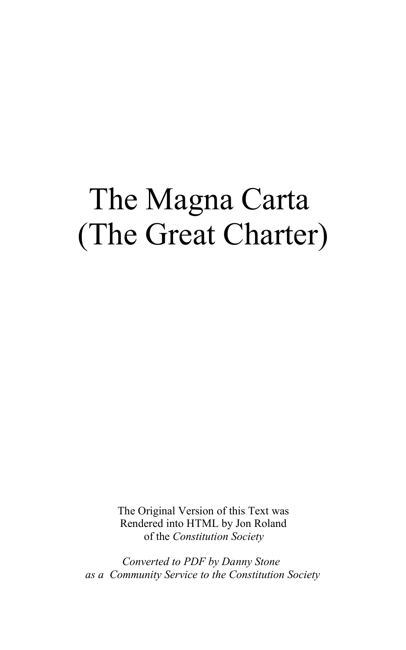## The Magna Carta (The Great Charter)

The Original Version of this Text was Rendered into HTML by Jon Roland of the *Constitution Society*

*Converted to PDF by Danny Stone as a Community Service to the Constitution Society*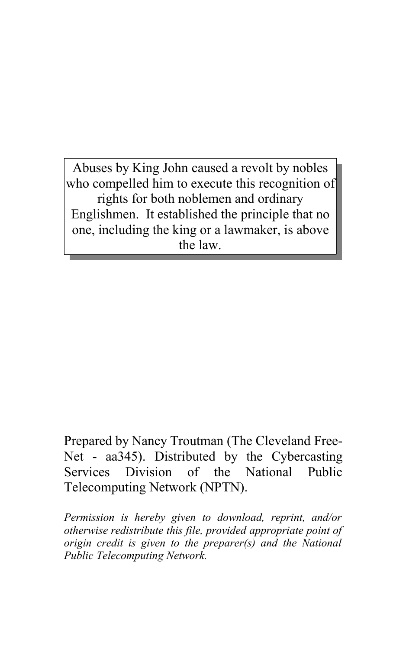Abuses by King John caused a revolt by nobles who compelled him to execute this recognition of rights for both noblemen and ordinary Englishmen. It established the principle that no one, including the king or a lawmaker, is above the law.

Prepared by Nancy Troutman (The Cleveland Free-Net - aa345). Distributed by the Cybercasting Services Division of the National Public Telecomputing Network (NPTN).

*Permission is hereby given to download, reprint, and/or otherwise redistribute this file, provided appropriate point of origin credit is given to the preparer(s) and the National Public Telecomputing Network.*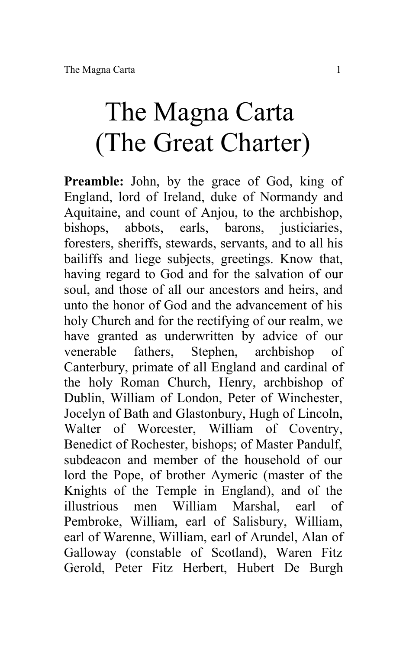## The Magna Carta (The Great Charter)

**Preamble:** John, by the grace of God, king of England, lord of Ireland, duke of Normandy and Aquitaine, and count of Anjou, to the archbishop, bishops, abbots, earls, barons, justiciaries, foresters, sheriffs, stewards, servants, and to all his bailiffs and liege subjects, greetings. Know that, having regard to God and for the salvation of our soul, and those of all our ancestors and heirs, and unto the honor of God and the advancement of his holy Church and for the rectifying of our realm, we have granted as underwritten by advice of our venerable fathers, Stephen, archbishop of Canterbury, primate of all England and cardinal of the holy Roman Church, Henry, archbishop of Dublin, William of London, Peter of Winchester, Jocelyn of Bath and Glastonbury, Hugh of Lincoln, Walter of Worcester, William of Coventry, Benedict of Rochester, bishops; of Master Pandulf, subdeacon and member of the household of our lord the Pope, of brother Aymeric (master of the Knights of the Temple in England), and of the illustrious men William Marshal, earl of Pembroke, William, earl of Salisbury, William, earl of Warenne, William, earl of Arundel, Alan of Galloway (constable of Scotland), Waren Fitz Gerold, Peter Fitz Herbert, Hubert De Burgh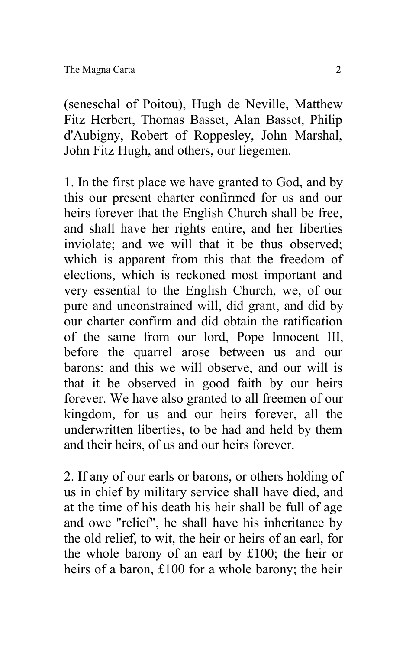(seneschal of Poitou), Hugh de Neville, Matthew Fitz Herbert, Thomas Basset, Alan Basset, Philip d'Aubigny, Robert of Roppesley, John Marshal, John Fitz Hugh, and others, our liegemen.

1. In the first place we have granted to God, and by this our present charter confirmed for us and our heirs forever that the English Church shall be free, and shall have her rights entire, and her liberties inviolate; and we will that it be thus observed; which is apparent from this that the freedom of elections, which is reckoned most important and very essential to the English Church, we, of our pure and unconstrained will, did grant, and did by our charter confirm and did obtain the ratification of the same from our lord, Pope Innocent III, before the quarrel arose between us and our barons: and this we will observe, and our will is that it be observed in good faith by our heirs forever. We have also granted to all freemen of our kingdom, for us and our heirs forever, all the underwritten liberties, to be had and held by them and their heirs, of us and our heirs forever.

2. If any of our earls or barons, or others holding of us in chief by military service shall have died, and at the time of his death his heir shall be full of age and owe "relief", he shall have his inheritance by the old relief, to wit, the heir or heirs of an earl, for the whole barony of an earl by £100; the heir or heirs of a baron, £100 for a whole barony; the heir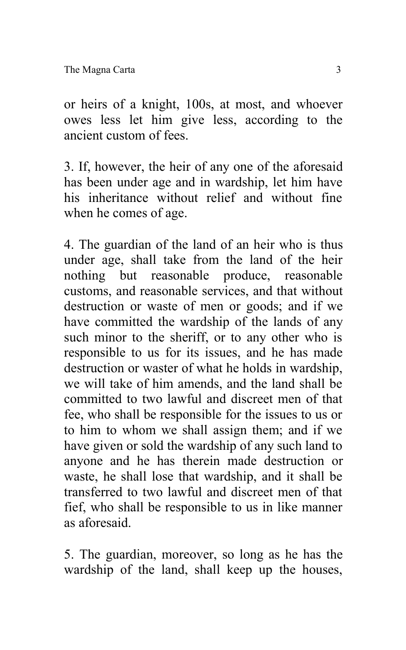or heirs of a knight, 100s, at most, and whoever owes less let him give less, according to the ancient custom of fees.

3. If, however, the heir of any one of the aforesaid has been under age and in wardship, let him have his inheritance without relief and without fine when he comes of age.

4. The guardian of the land of an heir who is thus under age, shall take from the land of the heir nothing but reasonable produce, reasonable customs, and reasonable services, and that without destruction or waste of men or goods; and if we have committed the wardship of the lands of any such minor to the sheriff, or to any other who is responsible to us for its issues, and he has made destruction or waster of what he holds in wardship, we will take of him amends, and the land shall be committed to two lawful and discreet men of that fee, who shall be responsible for the issues to us or to him to whom we shall assign them; and if we have given or sold the wardship of any such land to anyone and he has therein made destruction or waste, he shall lose that wardship, and it shall be transferred to two lawful and discreet men of that fief, who shall be responsible to us in like manner as aforesaid.

5. The guardian, moreover, so long as he has the wardship of the land, shall keep up the houses,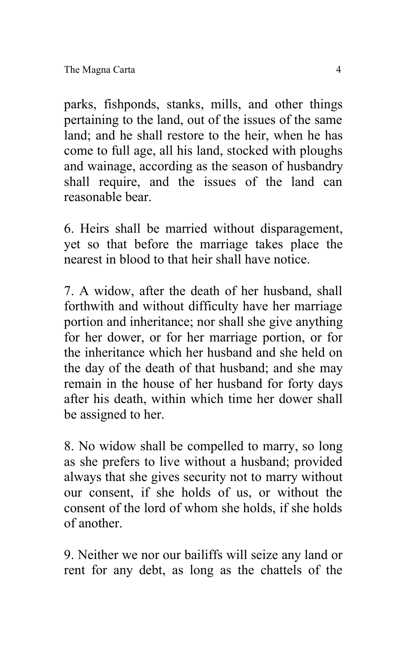parks, fishponds, stanks, mills, and other things pertaining to the land, out of the issues of the same land; and he shall restore to the heir, when he has come to full age, all his land, stocked with ploughs and wainage, according as the season of husbandry shall require, and the issues of the land can reasonable bear.

6. Heirs shall be married without disparagement, yet so that before the marriage takes place the nearest in blood to that heir shall have notice.

7. A widow, after the death of her husband, shall forthwith and without difficulty have her marriage portion and inheritance; nor shall she give anything for her dower, or for her marriage portion, or for the inheritance which her husband and she held on the day of the death of that husband; and she may remain in the house of her husband for forty days after his death, within which time her dower shall be assigned to her.

8. No widow shall be compelled to marry, so long as she prefers to live without a husband; provided always that she gives security not to marry without our consent, if she holds of us, or without the consent of the lord of whom she holds, if she holds of another.

9. Neither we nor our bailiffs will seize any land or rent for any debt, as long as the chattels of the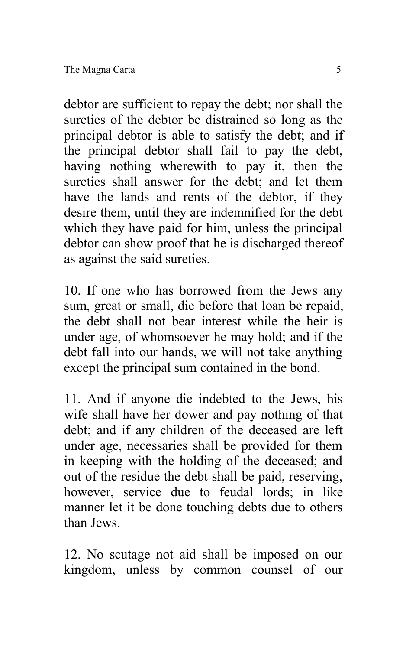debtor are sufficient to repay the debt; nor shall the sureties of the debtor be distrained so long as the principal debtor is able to satisfy the debt; and if the principal debtor shall fail to pay the debt, having nothing wherewith to pay it, then the sureties shall answer for the debt; and let them have the lands and rents of the debtor, if they desire them, until they are indemnified for the debt which they have paid for him, unless the principal debtor can show proof that he is discharged thereof as against the said sureties.

10. If one who has borrowed from the Jews any sum, great or small, die before that loan be repaid, the debt shall not bear interest while the heir is under age, of whomsoever he may hold; and if the debt fall into our hands, we will not take anything except the principal sum contained in the bond.

11. And if anyone die indebted to the Jews, his wife shall have her dower and pay nothing of that debt; and if any children of the deceased are left under age, necessaries shall be provided for them in keeping with the holding of the deceased; and out of the residue the debt shall be paid, reserving, however, service due to feudal lords; in like manner let it be done touching debts due to others than Jews.

12. No scutage not aid shall be imposed on our kingdom, unless by common counsel of our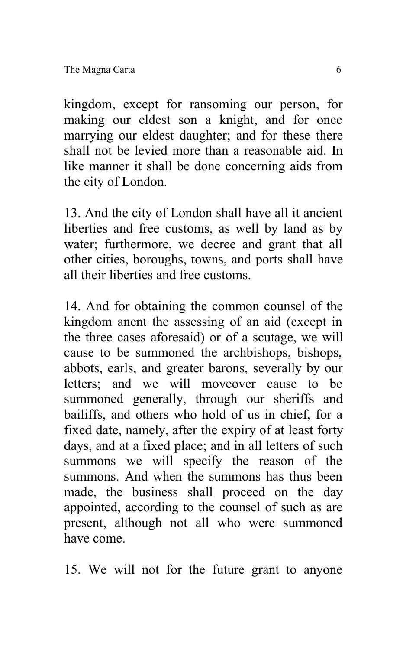kingdom, except for ransoming our person, for making our eldest son a knight, and for once marrying our eldest daughter; and for these there shall not be levied more than a reasonable aid. In like manner it shall be done concerning aids from the city of London.

13. And the city of London shall have all it ancient liberties and free customs, as well by land as by water; furthermore, we decree and grant that all other cities, boroughs, towns, and ports shall have all their liberties and free customs.

14. And for obtaining the common counsel of the kingdom anent the assessing of an aid (except in the three cases aforesaid) or of a scutage, we will cause to be summoned the archbishops, bishops, abbots, earls, and greater barons, severally by our letters; and we will moveover cause to be summoned generally, through our sheriffs and bailiffs, and others who hold of us in chief, for a fixed date, namely, after the expiry of at least forty days, and at a fixed place; and in all letters of such summons we will specify the reason of the summons. And when the summons has thus been made, the business shall proceed on the day appointed, according to the counsel of such as are present, although not all who were summoned have come.

15. We will not for the future grant to anyone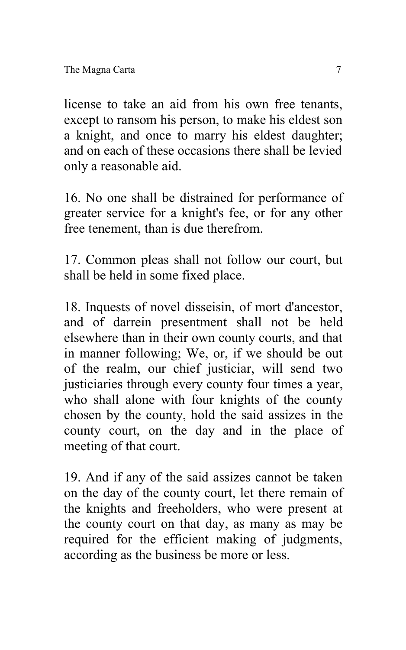license to take an aid from his own free tenants, except to ransom his person, to make his eldest son a knight, and once to marry his eldest daughter; and on each of these occasions there shall be levied only a reasonable aid.

16. No one shall be distrained for performance of greater service for a knight's fee, or for any other free tenement, than is due therefrom.

17. Common pleas shall not follow our court, but shall be held in some fixed place.

18. Inquests of novel disseisin, of mort d'ancestor, and of darrein presentment shall not be held elsewhere than in their own county courts, and that in manner following; We, or, if we should be out of the realm, our chief justiciar, will send two justiciaries through every county four times a year, who shall alone with four knights of the county chosen by the county, hold the said assizes in the county court, on the day and in the place of meeting of that court.

19. And if any of the said assizes cannot be taken on the day of the county court, let there remain of the knights and freeholders, who were present at the county court on that day, as many as may be required for the efficient making of judgments, according as the business be more or less.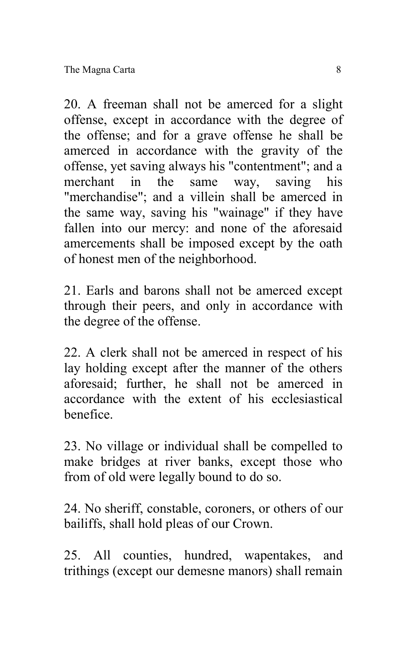20. A freeman shall not be amerced for a slight offense, except in accordance with the degree of the offense; and for a grave offense he shall be amerced in accordance with the gravity of the offense, yet saving always his "contentment"; and a merchant in the same way, saving his "merchandise"; and a villein shall be amerced in the same way, saving his "wainage" if they have fallen into our mercy: and none of the aforesaid amercements shall be imposed except by the oath of honest men of the neighborhood.

21. Earls and barons shall not be amerced except through their peers, and only in accordance with the degree of the offense.

22. A clerk shall not be amerced in respect of his lay holding except after the manner of the others aforesaid; further, he shall not be amerced in accordance with the extent of his ecclesiastical benefice.

23. No village or individual shall be compelled to make bridges at river banks, except those who from of old were legally bound to do so.

24. No sheriff, constable, coroners, or others of our bailiffs, shall hold pleas of our Crown.

25. All counties, hundred, wapentakes, and trithings (except our demesne manors) shall remain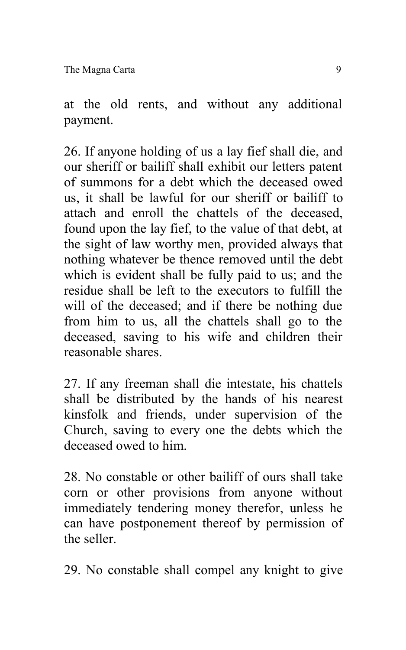The Magna Carta 9

at the old rents, and without any additional payment.

26. If anyone holding of us a lay fief shall die, and our sheriff or bailiff shall exhibit our letters patent of summons for a debt which the deceased owed us, it shall be lawful for our sheriff or bailiff to attach and enroll the chattels of the deceased, found upon the lay fief, to the value of that debt, at the sight of law worthy men, provided always that nothing whatever be thence removed until the debt which is evident shall be fully paid to us; and the residue shall be left to the executors to fulfill the will of the deceased; and if there be nothing due from him to us, all the chattels shall go to the deceased, saving to his wife and children their reasonable shares.

27. If any freeman shall die intestate, his chattels shall be distributed by the hands of his nearest kinsfolk and friends, under supervision of the Church, saving to every one the debts which the deceased owed to him.

28. No constable or other bailiff of ours shall take corn or other provisions from anyone without immediately tendering money therefor, unless he can have postponement thereof by permission of the seller.

29. No constable shall compel any knight to give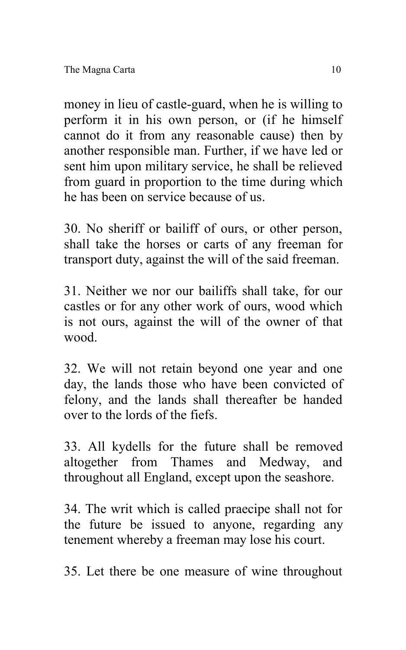money in lieu of castle-guard, when he is willing to perform it in his own person, or (if he himself cannot do it from any reasonable cause) then by another responsible man. Further, if we have led or sent him upon military service, he shall be relieved from guard in proportion to the time during which he has been on service because of us.

30. No sheriff or bailiff of ours, or other person, shall take the horses or carts of any freeman for transport duty, against the will of the said freeman.

31. Neither we nor our bailiffs shall take, for our castles or for any other work of ours, wood which is not ours, against the will of the owner of that wood.

32. We will not retain beyond one year and one day, the lands those who have been convicted of felony, and the lands shall thereafter be handed over to the lords of the fiefs.

33. All kydells for the future shall be removed altogether from Thames and Medway, and throughout all England, except upon the seashore.

34. The writ which is called praecipe shall not for the future be issued to anyone, regarding any tenement whereby a freeman may lose his court.

35. Let there be one measure of wine throughout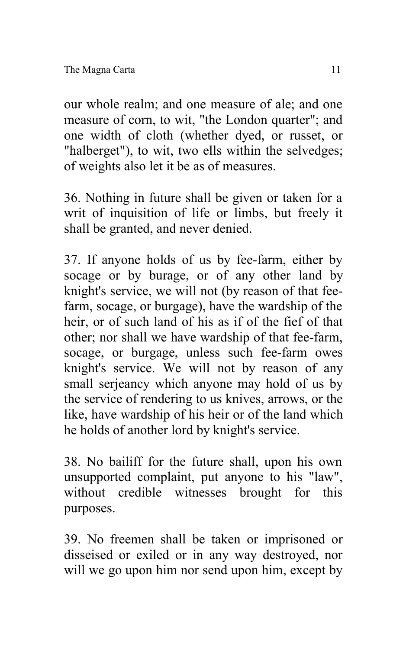our whole realm; and one measure of ale; and one measure of corn, to wit, "the London quarter"; and one width of cloth (whether dyed, or russet, or "halberget"), to wit, two ells within the selvedges; of weights also let it be as of measures.

36. Nothing in future shall be given or taken for a writ of inquisition of life or limbs, but freely it shall be granted, and never denied.

37. If anyone holds of us by fee-farm, either by socage or by burage, or of any other land by knight's service, we will not (by reason of that feefarm, socage, or burgage), have the wardship of the heir, or of such land of his as if of the fief of that other; nor shall we have wardship of that fee-farm, socage, or burgage, unless such fee-farm owes knight's service. We will not by reason of any small serjeancy which anyone may hold of us by the service of rendering to us knives, arrows, or the like, have wardship of his heir or of the land which he holds of another lord by knight's service.

38. No bailiff for the future shall, upon his own unsupported complaint, put anyone to his "law", without credible witnesses brought for this purposes.

39. No freemen shall be taken or imprisoned or disseised or exiled or in any way destroyed, nor will we go upon him nor send upon him, except by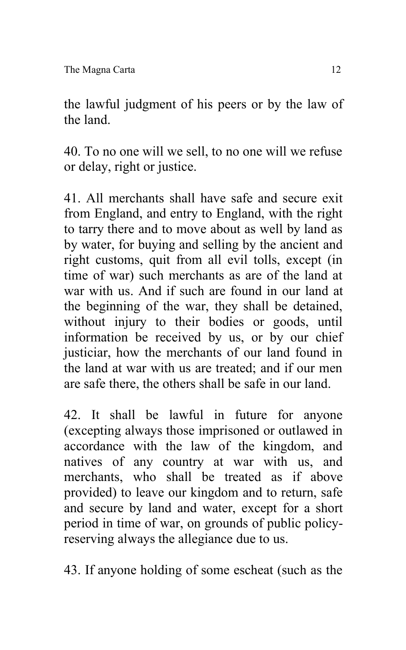the lawful judgment of his peers or by the law of the land.

40. To no one will we sell, to no one will we refuse or delay, right or justice.

41. All merchants shall have safe and secure exit from England, and entry to England, with the right to tarry there and to move about as well by land as by water, for buying and selling by the ancient and right customs, quit from all evil tolls, except (in time of war) such merchants as are of the land at war with us. And if such are found in our land at the beginning of the war, they shall be detained, without injury to their bodies or goods, until information be received by us, or by our chief justiciar, how the merchants of our land found in the land at war with us are treated; and if our men are safe there, the others shall be safe in our land.

42. It shall be lawful in future for anyone (excepting always those imprisoned or outlawed in accordance with the law of the kingdom, and natives of any country at war with us, and merchants, who shall be treated as if above provided) to leave our kingdom and to return, safe and secure by land and water, except for a short period in time of war, on grounds of public policyreserving always the allegiance due to us.

43. If anyone holding of some escheat (such as the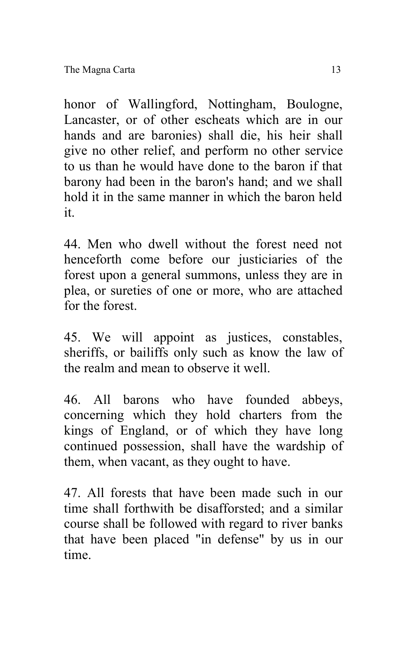honor of Wallingford, Nottingham, Boulogne, Lancaster, or of other escheats which are in our hands and are baronies) shall die, his heir shall give no other relief, and perform no other service to us than he would have done to the baron if that barony had been in the baron's hand; and we shall hold it in the same manner in which the baron held it.

44. Men who dwell without the forest need not henceforth come before our justiciaries of the forest upon a general summons, unless they are in plea, or sureties of one or more, who are attached for the forest.

45. We will appoint as justices, constables, sheriffs, or bailiffs only such as know the law of the realm and mean to observe it well.

46. All barons who have founded abbeys, concerning which they hold charters from the kings of England, or of which they have long continued possession, shall have the wardship of them, when vacant, as they ought to have.

47. All forests that have been made such in our time shall forthwith be disafforsted; and a similar course shall be followed with regard to river banks that have been placed "in defense" by us in our time.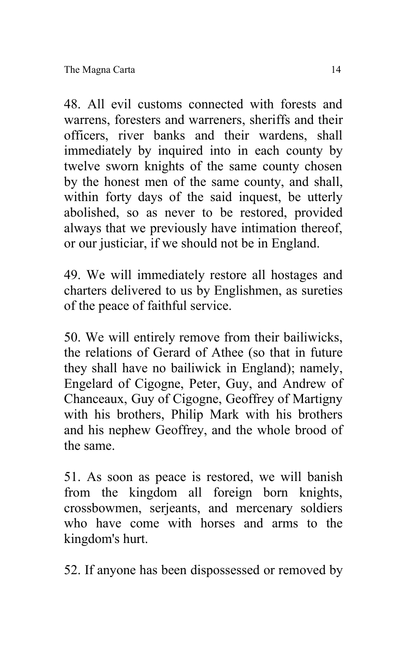48. All evil customs connected with forests and warrens, foresters and warreners, sheriffs and their officers, river banks and their wardens, shall immediately by inquired into in each county by twelve sworn knights of the same county chosen by the honest men of the same county, and shall, within forty days of the said inquest, be utterly abolished, so as never to be restored, provided always that we previously have intimation thereof, or our justiciar, if we should not be in England.

49. We will immediately restore all hostages and charters delivered to us by Englishmen, as sureties of the peace of faithful service.

50. We will entirely remove from their bailiwicks, the relations of Gerard of Athee (so that in future they shall have no bailiwick in England); namely, Engelard of Cigogne, Peter, Guy, and Andrew of Chanceaux, Guy of Cigogne, Geoffrey of Martigny with his brothers, Philip Mark with his brothers and his nephew Geoffrey, and the whole brood of the same.

51. As soon as peace is restored, we will banish from the kingdom all foreign born knights, crossbowmen, serjeants, and mercenary soldiers who have come with horses and arms to the kingdom's hurt.

52. If anyone has been dispossessed or removed by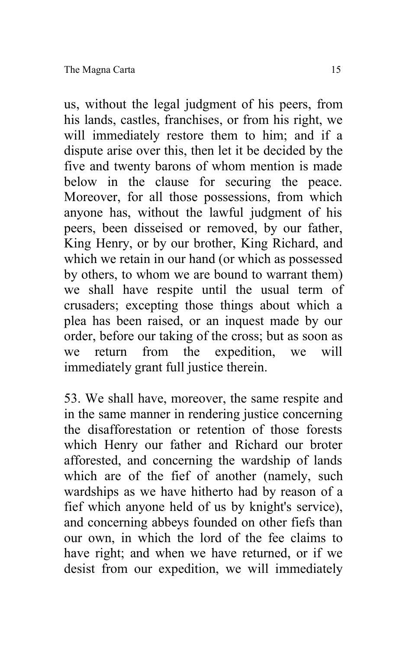us, without the legal judgment of his peers, from his lands, castles, franchises, or from his right, we will immediately restore them to him; and if a dispute arise over this, then let it be decided by the five and twenty barons of whom mention is made below in the clause for securing the peace. Moreover, for all those possessions, from which anyone has, without the lawful judgment of his peers, been disseised or removed, by our father, King Henry, or by our brother, King Richard, and which we retain in our hand (or which as possessed by others, to whom we are bound to warrant them) we shall have respite until the usual term of crusaders; excepting those things about which a plea has been raised, or an inquest made by our order, before our taking of the cross; but as soon as we return from the expedition, we will immediately grant full justice therein.

53. We shall have, moreover, the same respite and in the same manner in rendering justice concerning the disafforestation or retention of those forests which Henry our father and Richard our broter afforested, and concerning the wardship of lands which are of the fief of another (namely, such wardships as we have hitherto had by reason of a fief which anyone held of us by knight's service), and concerning abbeys founded on other fiefs than our own, in which the lord of the fee claims to have right; and when we have returned, or if we desist from our expedition, we will immediately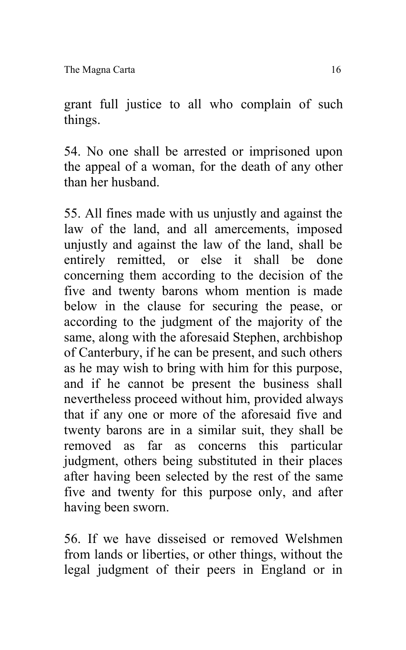The Magna Carta 16

grant full justice to all who complain of such things.

54. No one shall be arrested or imprisoned upon the appeal of a woman, for the death of any other than her husband.

55. All fines made with us unjustly and against the law of the land, and all amercements, imposed unjustly and against the law of the land, shall be entirely remitted, or else it shall be done concerning them according to the decision of the five and twenty barons whom mention is made below in the clause for securing the pease, or according to the judgment of the majority of the same, along with the aforesaid Stephen, archbishop of Canterbury, if he can be present, and such others as he may wish to bring with him for this purpose, and if he cannot be present the business shall nevertheless proceed without him, provided always that if any one or more of the aforesaid five and twenty barons are in a similar suit, they shall be removed as far as concerns this particular judgment, others being substituted in their places after having been selected by the rest of the same five and twenty for this purpose only, and after having been sworn.

56. If we have disseised or removed Welshmen from lands or liberties, or other things, without the legal judgment of their peers in England or in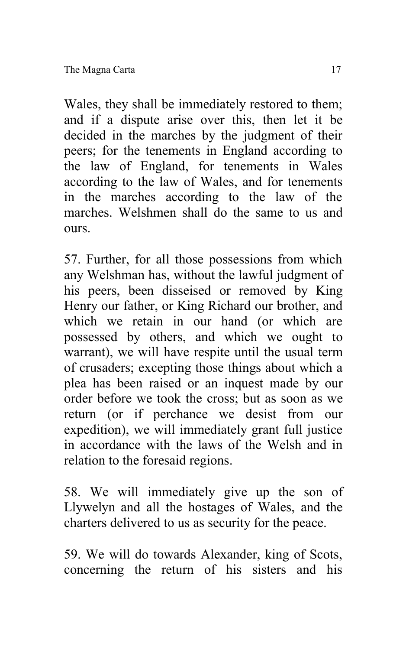Wales, they shall be immediately restored to them; and if a dispute arise over this, then let it be decided in the marches by the judgment of their peers; for the tenements in England according to the law of England, for tenements in Wales according to the law of Wales, and for tenements in the marches according to the law of the marches. Welshmen shall do the same to us and ours.

57. Further, for all those possessions from which any Welshman has, without the lawful judgment of his peers, been disseised or removed by King Henry our father, or King Richard our brother, and which we retain in our hand (or which are possessed by others, and which we ought to warrant), we will have respite until the usual term of crusaders; excepting those things about which a plea has been raised or an inquest made by our order before we took the cross; but as soon as we return (or if perchance we desist from our expedition), we will immediately grant full justice in accordance with the laws of the Welsh and in relation to the foresaid regions.

58. We will immediately give up the son of Llywelyn and all the hostages of Wales, and the charters delivered to us as security for the peace.

59. We will do towards Alexander, king of Scots, concerning the return of his sisters and his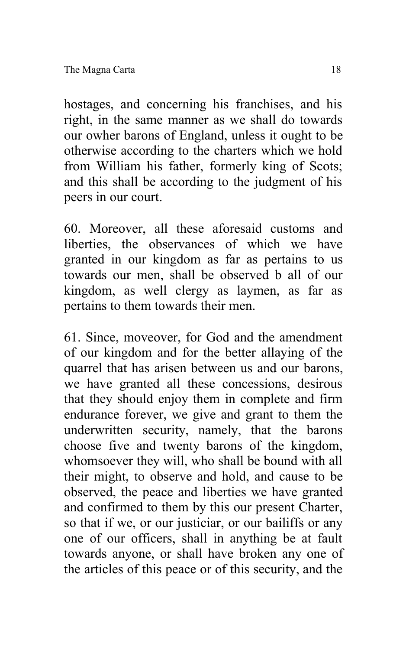hostages, and concerning his franchises, and his right, in the same manner as we shall do towards our owher barons of England, unless it ought to be otherwise according to the charters which we hold from William his father, formerly king of Scots; and this shall be according to the judgment of his peers in our court.

60. Moreover, all these aforesaid customs and liberties, the observances of which we have granted in our kingdom as far as pertains to us towards our men, shall be observed b all of our kingdom, as well clergy as laymen, as far as pertains to them towards their men.

61. Since, moveover, for God and the amendment of our kingdom and for the better allaying of the quarrel that has arisen between us and our barons, we have granted all these concessions, desirous that they should enjoy them in complete and firm endurance forever, we give and grant to them the underwritten security, namely, that the barons choose five and twenty barons of the kingdom, whomsoever they will, who shall be bound with all their might, to observe and hold, and cause to be observed, the peace and liberties we have granted and confirmed to them by this our present Charter, so that if we, or our justiciar, or our bailiffs or any one of our officers, shall in anything be at fault towards anyone, or shall have broken any one of the articles of this peace or of this security, and the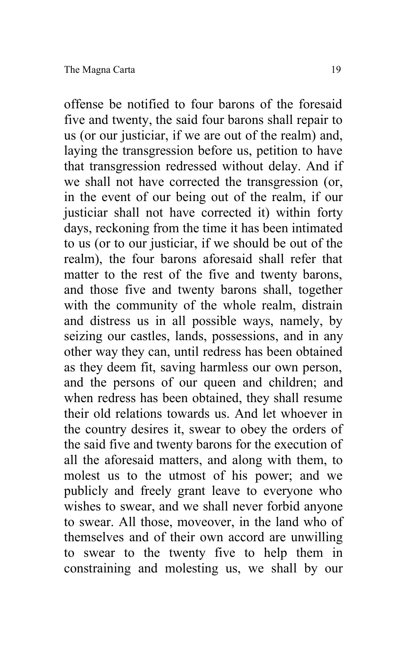offense be notified to four barons of the foresaid five and twenty, the said four barons shall repair to us (or our justiciar, if we are out of the realm) and, laying the transgression before us, petition to have that transgression redressed without delay. And if we shall not have corrected the transgression (or, in the event of our being out of the realm, if our justiciar shall not have corrected it) within forty days, reckoning from the time it has been intimated to us (or to our justiciar, if we should be out of the realm), the four barons aforesaid shall refer that matter to the rest of the five and twenty barons, and those five and twenty barons shall, together with the community of the whole realm, distrain and distress us in all possible ways, namely, by seizing our castles, lands, possessions, and in any other way they can, until redress has been obtained as they deem fit, saving harmless our own person, and the persons of our queen and children; and when redress has been obtained, they shall resume their old relations towards us. And let whoever in the country desires it, swear to obey the orders of the said five and twenty barons for the execution of all the aforesaid matters, and along with them, to molest us to the utmost of his power; and we publicly and freely grant leave to everyone who wishes to swear, and we shall never forbid anyone to swear. All those, moveover, in the land who of themselves and of their own accord are unwilling to swear to the twenty five to help them in constraining and molesting us, we shall by our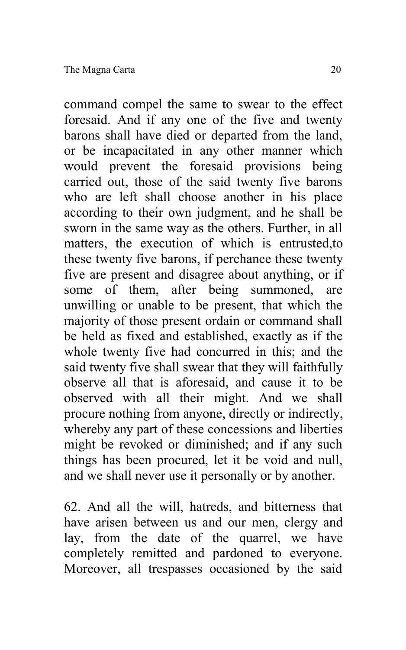command compel the same to swear to the effect foresaid. And if any one of the five and twenty barons shall have died or departed from the land, or be incapacitated in any other manner which would prevent the foresaid provisions being carried out, those of the said twenty five barons who are left shall choose another in his place according to their own judgment, and he shall be sworn in the same way as the others. Further, in all matters, the execution of which is entrusted,to these twenty five barons, if perchance these twenty five are present and disagree about anything, or if some of them, after being summoned, are unwilling or unable to be present, that which the majority of those present ordain or command shall be held as fixed and established, exactly as if the whole twenty five had concurred in this; and the said twenty five shall swear that they will faithfully observe all that is aforesaid, and cause it to be observed with all their might. And we shall procure nothing from anyone, directly or indirectly, whereby any part of these concessions and liberties might be revoked or diminished; and if any such things has been procured, let it be void and null, and we shall never use it personally or by another.

62. And all the will, hatreds, and bitterness that have arisen between us and our men, clergy and lay, from the date of the quarrel, we have completely remitted and pardoned to everyone. Moreover, all trespasses occasioned by the said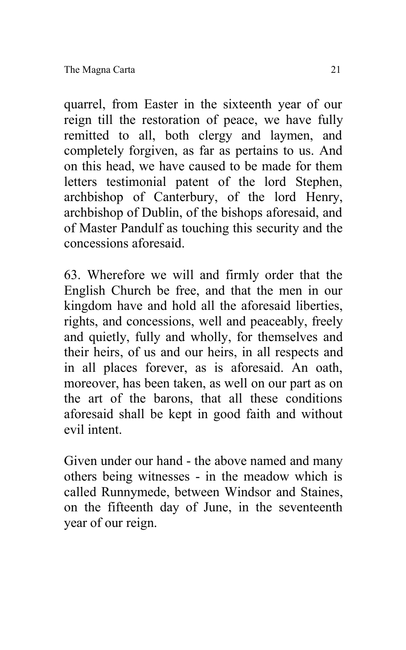quarrel, from Easter in the sixteenth year of our reign till the restoration of peace, we have fully remitted to all, both clergy and laymen, and completely forgiven, as far as pertains to us. And on this head, we have caused to be made for them letters testimonial patent of the lord Stephen, archbishop of Canterbury, of the lord Henry, archbishop of Dublin, of the bishops aforesaid, and of Master Pandulf as touching this security and the concessions aforesaid.

63. Wherefore we will and firmly order that the English Church be free, and that the men in our kingdom have and hold all the aforesaid liberties, rights, and concessions, well and peaceably, freely and quietly, fully and wholly, for themselves and their heirs, of us and our heirs, in all respects and in all places forever, as is aforesaid. An oath, moreover, has been taken, as well on our part as on the art of the barons, that all these conditions aforesaid shall be kept in good faith and without evil intent.

Given under our hand - the above named and many others being witnesses - in the meadow which is called Runnymede, between Windsor and Staines, on the fifteenth day of June, in the seventeenth year of our reign.